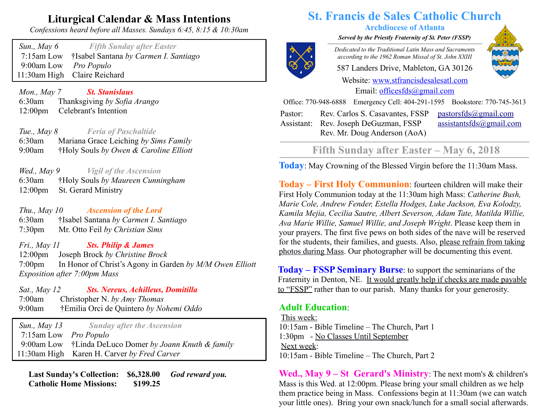## **Liturgical Calendar & Mass Intentions**

*Confessions heard before all Masses. Sundays 6:45, 8:15 & 10:30am*

| Sun., May 6                  | <b>Fifth Sunday after Easter</b>      |
|------------------------------|---------------------------------------|
| $7:15$ am Low                | †Isabel Santana by Carmen I. Santiago |
| 9:00am Low <i>Pro Populo</i> |                                       |
|                              | 11:30am High Claire Reichard          |

 *Mon., May 7 St. Stanislaus* 6:30am Thanksgiving *by Sofia Arango* 12:00pm Celebrant's Intention

 *Tue., May 8 Feria of Paschaltide* 6:30am Mariana Grace Leiching *by Sims Family* 9:00am †Holy Souls *by Owen & Caroline Elliott*

 *Wed., May 9 Vigil of the Ascension* 6:30am †Holy Souls *by Maureen Cunningham* 12:00pm St. Gerard Ministry

 *Thu., May 10 Ascension of the Lord* 6:30am†Isabel Santana *by Carmen I. Santiago* 7:30pm Mr. Otto Feil *by Christian Sims*

 *Fri., May 11 Sts. Philip & James* 12:00pm Joseph Brock *by Christine Brock* 7:00pm In Honor of Christ's Agony in Garden *by M/M Owen Elliott Exposition after 7:00pm Mass*

 *Sat., May 12 Sts. Nereus, Achilleus, Domitilla* 7:00amChristopher N. *by Amy Thomas* 9:00am †Emilia Orci de Quintero *by Nohemi Oddo*

 *Sun., May 13 Sunday after the Ascension* 7:15am Low *Pro Populo* 9:00am Low †Linda DeLuco Domer *by Joann Knuth & family* 11:30am High Karen H. Carver *by Fred Carver*

 **Last Sunday's Collection: \$6,328.00** *God reward you.*  **Catholic Home Missions: \$199.25**

# **St. Francis de Sales Catholic Church**

#### **Archdiocese of Atlanta**

*Served by the Priestly Fraternity of St. Peter (FSSP)*  $\overline{a}$   $\overline{a}$   $\overline{a}$   $\overline{a}$   $\overline{a}$   $\overline{a}$   $\overline{a}$   $\overline{a}$   $\overline{a}$   $\overline{a}$   $\overline{a}$   $\overline{a}$   $\overline{a}$   $\overline{a}$   $\overline{a}$   $\overline{a}$   $\overline{a}$   $\overline{a}$   $\overline{a}$   $\overline{a}$   $\overline{a}$   $\overline{a}$   $\overline{a}$   $\overline{a}$   $\overline{$ 



*Dedicated to the Traditional Latin Mass and Sacraments according to the 1962 Roman Missal of St. John XXIII*

587 Landers Drive, Mableton, GA 30126

Website: [www.stfrancisdesalesatl.com](http://www.stfrancisdesalesatl.com/) Email: [officesfds@gmail.com](mailto:officesfds@gmail.com)

Office: 770-948-6888 Emergency Cell: 404-291-1595 Bookstore: 770-745-3613

Pastor: Assistant: Rev. Joseph DeGuzman, FSSP Rev. Carlos S. Casavantes, FSSP Rev. Mr. Doug Anderson (AoA)

 $pastorsfds@gmail.com$ [assistantsfds@gmail.com](mailto:assistantsfds@gmail.com)

## Fifth Sunday after Easter – May 6, 2018

**Today**: May Crowning of the Blessed Virgin before the 11:30am Mass.

**Today – First Holy Communion**: fourteen children will make their First Holy Communion today at the 11:30am high Mass: *Catherine Bush, Marie Cole, Andrew Fender, Estella Hodges, Luke Jackson, Eva Kolodzy, Kamila Mejia, Cecilia Sautre, Albert Severson, Adam Tate, Matilda Willie, Ava Marie Willie, Samuel Willie, and Joseph Wright*. Please keep them in your prayers. The first five pews on both sides of the nave will be reserved for the students, their families, and guests. Also, please refrain from taking photos during Mass. Our photographer will be documenting this event.

**Today – FSSP Seminary Burse**: to support the seminarians of the Fraternity in Denton, NE. It would greatly help if checks are made payable to "FSSP" rather than to our parish. Many thanks for your generosity.

### **Adult Education**:

This week: 10:15am - Bible Timeline – The Church, Part 1 1:30pm - No Classes Until September Next week: 10:15am - Bible Timeline – The Church, Part 2

**Wed., May 9 – St Gerard's Ministry**: The next mom's & children's Mass is this Wed. at 12:00pm. Please bring your small children as we help them practice being in Mass. Confessions begin at 11:30am (we can watch your little ones). Bring your own snack/lunch for a small social afterwards.